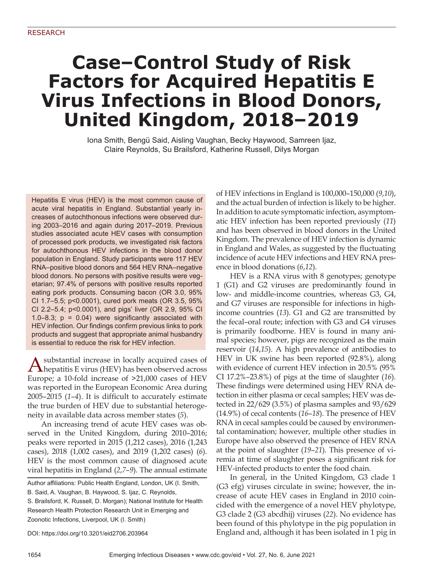# **Case–Control Study of Risk Factors for Acquired Hepatitis E Virus Infections in Blood Donors, United Kingdom, 2018–2019**

Iona Smith, Bengü Said, Aisling Vaughan, Becky Haywood, Samreen Ijaz, Claire Reynolds, Su Brailsford, Katherine Russell, Dilys Morgan

Hepatitis E virus (HEV) is the most common cause of acute viral hepatitis in England. Substantial yearly increases of autochthonous infections were observed during 2003–2016 and again during 2017–2019. Previous studies associated acute HEV cases with consumption of processed pork products, we investigated risk factors for autochthonous HEV infections in the blood donor population in England. Study participants were 117 HEV RNA–positive blood donors and 564 HEV RNA–negative blood donors. No persons with positive results were vegetarian; 97.4% of persons with positive results reported eating pork products. Consuming bacon (OR 3.0, 95% CI 1.7–5.5; p<0.0001), cured pork meats (OR 3.5, 95% CI 2.2–5.4; p<0.0001), and pigs' liver (OR 2.9, 95% CI 1.0–8.3;  $p = 0.04$ ) were significantly associated with HEV infection. Our findings confirm previous links to pork products and suggest that appropriate animal husbandry is essential to reduce the risk for HEV infection.

A substantial increase in locally acquired cases of  $\Lambda$  hepatitis E virus (HEV) has been observed across Europe; a 10-fold increase of >21,000 cases of HEV was reported in the European Economic Area during  $2005-2015$  ( $1-4$ ). It is difficult to accurately estimate the true burden of HEV due to substantial heterogeneity in available data across member states (*5*).

An increasing trend of acute HEV cases was observed in the United Kingdom, during 2010–2016; peaks were reported in 2015 (1,212 cases), 2016 (1,243 cases), 2018 (1,002 cases), and 2019 (1,202 cases) (*6*). HEV is the most common cause of diagnosed acute viral hepatitis in England (*2*,*7*–*9*). The annual estimate

Author affiliations: Public Health England, London, UK (I. Smith,

B. Said, A. Vaughan, B. Haywood, S. Ijaz, C. Reynolds,

S. Brailsford, K. Russell, D. Morgan); National Institute for Health Research Health Protection Research Unit in Emerging and Zoonotic Infections, Liverpool, UK (I. Smith)

DOI: https://doi.org/10.3201/eid2706.203964

of HEV infections in England is 100,000–150,000 (*9*,*10*), and the actual burden of infection is likely to be higher. In addition to acute symptomatic infection, asymptomatic HEV infection has been reported previously (*11*) and has been observed in blood donors in the United Kingdom. The prevalence of HEV infection is dynamic in England and Wales, as suggested by the fluctuating incidence of acute HEV infections and HEV RNA presence in blood donations (*6*,*12*).

HEV is a RNA virus with 8 genotypes; genotype 1 (G1) and G2 viruses are predominantly found in low- and middle-income countries, whereas G3, G4, and G7 viruses are responsible for infections in highincome countries (*13*). G1 and G2 are transmitted by the fecal–oral route; infection with G3 and G4 viruses is primarily foodborne. HEV is found in many animal species; however, pigs are recognized as the main reservoir (*14*,*15*). A high prevalence of antibodies to HEV in UK swine has been reported (92.8%), along with evidence of current HEV infection in 20.5% (95% CI 17.2%–23.8%) of pigs at the time of slaughter (*16*). These findings were determined using HEV RNA detection in either plasma or cecal samples; HEV was detected in 22/629 (3.5%) of plasma samples and 93/629 (14.9%) of cecal contents (*16*–*18*). The presence of HEV RNA in cecal samples could be caused by environmental contamination; however, multiple other studies in Europe have also observed the presence of HEV RNA at the point of slaughter (*19*–*21*). This presence of viremia at time of slaughter poses a significant risk for HEV-infected products to enter the food chain.

In general, in the United Kingdom, G3 clade 1 (G3 efg) viruses circulate in swine; however, the increase of acute HEV cases in England in 2010 coincided with the emergence of a novel HEV phylotype, G3 clade 2 (G3 abcdhij) viruses (*22*). No evidence has been found of this phylotype in the pig population in England and, although it has been isolated in 1 pig in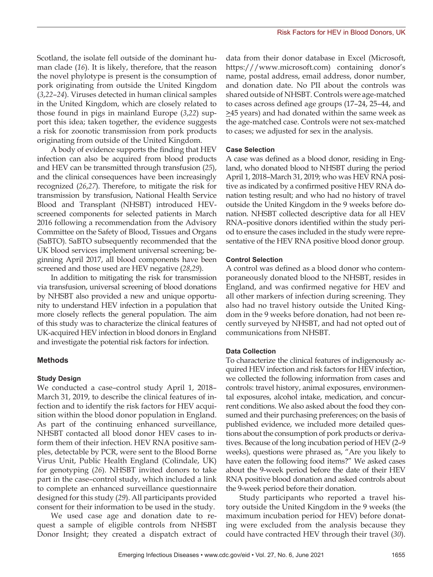Scotland, the isolate fell outside of the dominant human clade (*16*). It is likely, therefore, that the reason the novel phylotype is present is the consumption of pork originating from outside the United Kingdom (*3*,*22*–*24*). Viruses detected in human clinical samples in the United Kingdom, which are closely related to those found in pigs in mainland Europe (*3*,*22*) support this idea; taken together, the evidence suggests a risk for zoonotic transmission from pork products originating from outside of the United Kingdom.

A body of evidence supports the finding that HEV infection can also be acquired from blood products and HEV can be transmitted through transfusion (*25*), and the clinical consequences have been increasingly recognized (*26*,*27*). Therefore, to mitigate the risk for transmission by transfusion, National Health Service Blood and Transplant (NHSBT) introduced HEVscreened components for selected patients in March 2016 following a recommendation from the Advisory Committee on the Safety of Blood, Tissues and Organs (SaBTO). SaBTO subsequently recommended that the UK blood services implement universal screening; beginning April 2017, all blood components have been screened and those used are HEV negative (*28*,*29*).

In addition to mitigating the risk for transmission via transfusion, universal screening of blood donations by NHSBT also provided a new and unique opportunity to understand HEV infection in a population that more closely reflects the general population. The aim of this study was to characterize the clinical features of UK-acquired HEV infection in blood donors in England and investigate the potential risk factors for infection.

#### **Methods**

#### **Study Design**

We conducted a case–control study April 1, 2018– March 31, 2019, to describe the clinical features of infection and to identify the risk factors for HEV acquisition within the blood donor population in England. As part of the continuing enhanced surveillance, NHSBT contacted all blood donor HEV cases to inform them of their infection. HEV RNA positive samples, detectable by PCR, were sent to the Blood Borne Virus Unit, Public Health England (Colindale, UK) for genotyping (*26*). NHSBT invited donors to take part in the case–control study, which included a link to complete an enhanced surveillance questionnaire designed for this study (*29*). All participants provided consent for their information to be used in the study.

We used case age and donation date to request a sample of eligible controls from NHSBT Donor Insight; they created a dispatch extract of

data from their donor database in Excel (Microsoft, https:///www.microsoft.com) containing donor's name, postal address, email address, donor number, and donation date. No PII about the controls was shared outside of NHSBT. Controls were age-matched to cases across defined age groups (17–24, 25–44, and  $\geq$ 45 years) and had donated within the same week as the age-matched case. Controls were not sex-matched to cases; we adjusted for sex in the analysis.

#### **Case Selection**

A case was defined as a blood donor, residing in England, who donated blood to NHSBT during the period April 1, 2018–March 31, 2019; who was HEV RNA positive as indicated by a confirmed positive HEV RNA donation testing result; and who had no history of travel outside the United Kingdom in the 9 weeks before donation. NHSBT collected descriptive data for all HEV RNA–positive donors identified within the study period to ensure the cases included in the study were representative of the HEV RNA positive blood donor group.

#### **Control Selection**

A control was defined as a blood donor who contemporaneously donated blood to the NHSBT, resides in England, and was confirmed negative for HEV and all other markers of infection during screening. They also had no travel history outside the United Kingdom in the 9 weeks before donation, had not been recently surveyed by NHSBT, and had not opted out of communications from NHSBT.

#### **Data Collection**

To characterize the clinical features of indigenously acquired HEV infection and risk factors for HEV infection, we collected the following information from cases and controls: travel history, animal exposures, environmental exposures, alcohol intake, medication, and concurrent conditions. We also asked about the food they consumed and their purchasing preferences; on the basis of published evidence, we included more detailed questions about the consumption of pork products or derivatives. Because of the long incubation period of HEV (2–9 weeks), questions were phrased as, "Are you likely to have eaten the following food items?" We asked cases about the 9-week period before the date of their HEV RNA positive blood donation and asked controls about the 9-week period before their donation.

Study participants who reported a travel history outside the United Kingdom in the 9 weeks (the maximum incubation period for HEV) before donating were excluded from the analysis because they could have contracted HEV through their travel (*30*).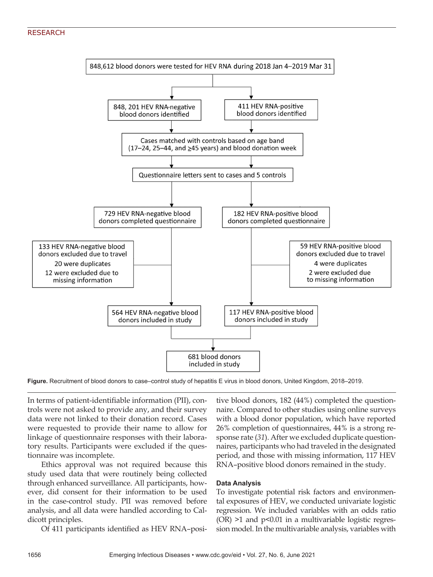## RESEARCH



**Figure.** Recruitment of blood donors to case–control study of hepatitis E virus in blood donors, United Kingdom, 2018–2019.

In terms of patient-identifiable information (PII), controls were not asked to provide any, and their survey data were not linked to their donation record. Cases were requested to provide their name to allow for linkage of questionnaire responses with their laboratory results. Participants were excluded if the questionnaire was incomplete.

Ethics approval was not required because this study used data that were routinely being collected through enhanced surveillance. All participants, however, did consent for their information to be used in the case-control study. PII was removed before analysis, and all data were handled according to Caldicott principles.

Of 411 participants identified as HEV RNA–posi-

tive blood donors, 182 (44%) completed the questionnaire. Compared to other studies using online surveys with a blood donor population, which have reported 26% completion of questionnaires, 44% is a strong response rate (*31*). After we excluded duplicate questionnaires, participants who had traveled in the designated period, and those with missing information, 117 HEV RNA–positive blood donors remained in the study.

### **Data Analysis**

To investigate potential risk factors and environmental exposures of HEV, we conducted univariate logistic regression. We included variables with an odds ratio  $(OR)$  >1 and  $p$ <0.01 in a multivariable logistic regression model. In the multivariable analysis, variables with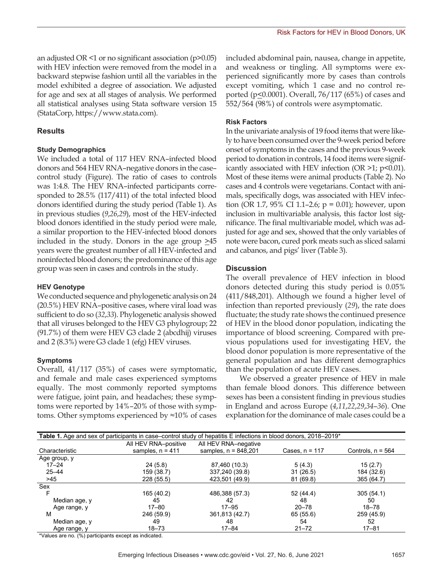an adjusted OR <1 or no significant association (p>0.05) with HEV infection were removed from the model in a backward stepwise fashion until all the variables in the model exhibited a degree of association. We adjusted for age and sex at all stages of analysis. We performed all statistical analyses using Stata software version 15 (StataCorp, https://www.stata.com).

# **Results**

### **Study Demographics**

We included a total of 117 HEV RNA–infected blood donors and 564 HEV RNA–negative donors in the case– control study (Figure). The ratio of cases to controls was 1:4.8. The HEV RNA–infected participants corresponded to 28.5% (117/411) of the total infected blood donors identified during the study period (Table 1). As in previous studies (*9*,*26*,*29*), most of the HEV-infected blood donors identified in the study period were male, a similar proportion to the HEV-infected blood donors included in the study. Donors in the age group  $\geq 45$ years were the greatest number of all HEV-infected and noninfected blood donors; the predominance of this age group was seen in cases and controls in the study.

## **HEV Genotype**

We conducted sequence and phylogenetic analysis on 24 (20.5%) HEV RNA–positive cases, where viral load was sufficient to do so (*32*,*33*). Phylogenetic analysis showed that all viruses belonged to the HEV G3 phylogroup; 22 (91.7%) of them were HEV G3 clade 2 (abcdhij) viruses and 2 (8.3%) were G3 clade 1 (efg) HEV viruses.

### **Symptoms**

Overall, 41/117 (35%) of cases were symptomatic, and female and male cases experienced symptoms equally. The most commonly reported symptoms were fatigue, joint pain, and headaches; these symptoms were reported by 14%–20% of those with symptoms. Other symptoms experienced by  $\approx$ 10% of cases

included abdominal pain, nausea, change in appetite, and weakness or tingling. All symptoms were experienced significantly more by cases than controls except vomiting, which 1 case and no control reported ( $p \le 0.0001$ ). Overall, 76/117 (65%) of cases and 552/564 (98%) of controls were asymptomatic.

# **Risk Factors**

In the univariate analysis of 19 food items that were likely to have been consumed over the 9-week period before onset of symptoms in the cases and the previous 9-week period to donation in controls, 14 food items were significantly associated with HEV infection (OR  $>1$ ; p<0.01). Most of these items were animal products (Table 2). No cases and 4 controls were vegetarians. Contact with animals, specifically dogs, was associated with HEV infection (OR 1.7, 95% CI 1.1–2.6; p = 0.01); however, upon inclusion in multivariable analysis, this factor lost significance. The final multivariable model, which was adjusted for age and sex, showed that the only variables of note were bacon, cured pork meats such as sliced salami and cabanos, and pigs' liver (Table 3).

# **Discussion**

The overall prevalence of HEV infection in blood donors detected during this study period is 0.05% (411/848,201). Although we found a higher level of infection than reported previously (*29*), the rate does fluctuate; the study rate shows the continued presence of HEV in the blood donor population, indicating the importance of blood screening. Compared with previous populations used for investigating HEV, the blood donor population is more representative of the general population and has different demographics than the population of acute HEV cases.

We observed a greater presence of HEV in male than female blood donors. This difference between sexes has been a consistent finding in previous studies in England and across Europe (*4*,*11*,*22*,*29*,*34*–*36*). One explanation for the dominance of male cases could be a

|                | All HEV RNA-positive | All HEV RNA-negative   |                  |                     |
|----------------|----------------------|------------------------|------------------|---------------------|
| Characteristic | samples, $n = 411$   | samples, $n = 848,201$ | Cases, $n = 117$ | Controls, $n = 564$ |
| Age group, y   |                      |                        |                  |                     |
| $17 - 24$      | 24(5.8)              | 87,460 (10.3)          | 5(4.3)           | 15(2.7)             |
| $25 - 44$      | 159 (38.7)           | 337,240 (39.8)         | 31(26.5)         | 184 (32.6)          |
| >45            | 228 (55.5)           | 423,501 (49.9)         | 81 (69.8)        | 365 (64.7)          |
| Sex            |                      |                        |                  |                     |
| F              | 165 (40.2)           | 486,388 (57.3)         | 52 (44.4)        | 305(54.1)           |
| Median age, y  | 45                   | 42                     | 48               | 50                  |
| Age range, y   | $17 - 80$            | $17 - 95$              | $20 - 78$        | $18 - 78$           |
| M              | 246 (59.9)           | 361,813 (42.7)         | 65 (55.6)        | 259 (45.9)          |
| Median age, y  | 49                   | 48                     | 54               | 52                  |
| Age range, y   | $18 - 73$            | $17 - 84$              | $21 - 72$        | $17 - 81$           |

\*Values are no. (%) participants except as indicated.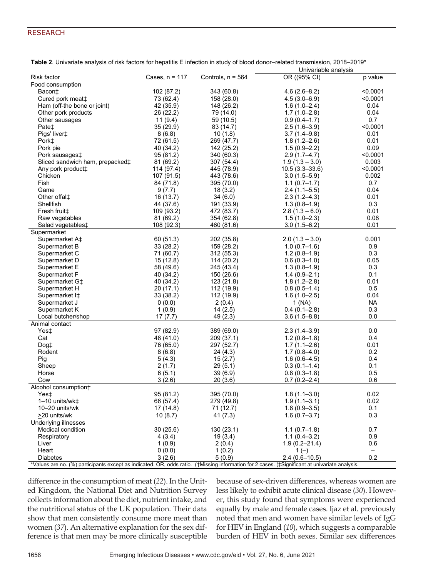# RESEARCH

| Univariable analysis<br>$\overline{OR}$ ((95% CI)<br>Cases, $n = 117$<br>Controls, $n = 564$<br>p value<br>Risk factor<br>Food consumption<br>Bacon‡<br>102 (87.2)<br>343 (60.8)<br>$4.6(2.6 - 8.2)$<br>< 0.0001<br>Cured pork meat‡<br>73 (62.4)<br>< 0.0001<br>158 (28.0)<br>$4.5(3.0 - 6.9)$<br>Ham (off-the bone or joint)<br>42 (35.9)<br>148 (26.2)<br>$1.6(1.0 - 2.4)$<br>0.04<br>Other pork products<br>26 (22.2)<br>0.04<br>79 (14.0)<br>$1.7(1.0-2.8)$<br>Other sausages<br>11(9.4)<br>$0.9(0.4 - 1.7)$<br>0.7<br>59 (10.5)<br>35 (29.9)<br>Pate <sup>+</sup><br>83 (14.7)<br>$2.5(1.6-3.9)$<br>< 0.0001<br>Pigs' liver‡<br>8(6.8)<br>$3.7(1.4 - 9.8)$<br>0.01<br>10(1.8)<br>Pork <sup>±</sup><br>72 (61.5)<br>269 (47.7)<br>$1.8(1.2 - 2.6)$<br>0.01<br>Pork pie<br>142 (25.2)<br>$1.5(0.9-2.2)$<br>0.09<br>40 (34.2)<br>Pork sausages <sup>+</sup><br>95 (81.2)<br>$2.9(1.7-4.7)$<br>< 0.0001<br>340 (60.3)<br>Sliced sandwich ham, prepacked‡<br>0.003<br>81 (69.2)<br>307 (54.4)<br>$1.9(1.3 - 3.0)$<br>Any pork product <sup>+</sup><br>114 (97.4)<br>$10.5(3.3 - 33.6)$<br>< 0.0001<br>445 (78.9)<br>Chicken<br>107 (91.5)<br>443 (78.6)<br>$3.0(1.5 - 5.9)$<br>0.002<br>Fish<br>0.7<br>84 (71.8)<br>395 (70.0)<br>$1.1(0.7-1.7)$<br>0.04<br>Game<br>18(3.2)<br>$2.4(1.1-5.5)$<br>9(7.7)<br>Other offal‡<br>16(13.7)<br>$2.3(1.2 - 4.3)$<br>0.01<br>34 (6.0)<br>Shellfish<br>44 (37.6)<br>191 (33.9)<br>$1.3(0.8-1.9)$<br>0.3<br>109 (93.2)<br>$2.8(1.3 - 6.0)$<br>0.01<br>Fresh fruit <sup>+</sup><br>472 (83.7)<br>Raw vegetables<br>81 (69.2)<br>$1.5(1.0-2.3)$<br>0.08<br>354 (62.8)<br>0.01<br>108 (92.3)<br>460 (81.6)<br>$3.0(1.5 - 6.2)$<br>Salad vegetables‡<br>Supermarket<br>60 (51.3)<br>202 (35.8)<br>$2.0(1.3 - 3.0)$<br>0.001<br>Supermarket A‡<br>33 (28.2)<br>159 (28.2)<br>$1.0(0.7-1.6)$<br>0.9<br>Supermarket B<br>71 (60.7)<br>0.3<br>Supermarket C<br>312(55.3)<br>$1.2(0.8-1.9)$<br>0.05<br>Supermarket D<br>15 (12.8)<br>114 (20.2)<br>$0.6(0.3-1.0)$<br>0.3<br>Supermarket E<br>58 (49.6)<br>245 (43.4)<br>$1.3(0.8-1.9)$<br>Supermarket F<br>40 (34.2)<br>150 (26.6)<br>$1.4(0.9 - 2.1)$<br>0.1<br>$1.8(1.2 - 2.8)$<br>0.01<br>Supermarket G‡<br>40 (34.2)<br>123(21.8)<br>Supermarket H<br>20 (17.1)<br>$0.8(0.5 - 1.4)$<br>0.5<br>112 (19.9)<br>33 (38.2)<br>$1.6(1.0-2.5)$<br>0.04<br>Supermarket I <sup>+</sup><br>112 (19.9)<br><b>NA</b><br>2(0.4)<br>1(NA)<br>Supermarket J<br>0(0.0)<br>1(0.9)<br>14(2.5)<br>$0.4(0.1 - 2.8)$<br>0.3<br>Supermarket K<br>17(7.7)<br>0.0<br>Local butcher/shop<br>49 (2.3)<br>$3.6(1.5 - 8.8)$<br>Animal contact<br>97 (82.9)<br>0.0<br>Yes‡<br>389 (69.0)<br>$2.3(1.4-3.9)$<br>Cat<br>48 (41.0)<br>209 (37.1)<br>$1.2(0.8-1.8)$<br>0.4<br>0.01<br>Dog <sub>‡</sub><br>76 (65.0)<br>297 (52.7)<br>$1.7(1.1 - 2.6)$<br>Rodent<br>8(6.8)<br>$1.7(0.8 - 4.0)$<br>0.2<br>24 (4.3)<br>Pig<br>0.4<br>5 (4.3)<br>15(2.7)<br>$1.6(0.6 - 4.5)$<br>0.1<br>Sheep<br>2(1.7)<br>29(5.1)<br>$0.3(0.1-1.4)$<br>Horse<br>6(5.1)<br>$0.8(0.3-1.8)$<br>0.5<br>39(6.9)<br>3(2.6)<br>$0.7(0.2 - 2.4)$<br>0.6<br>Cow<br>20(3.6)<br>Alcohol consumption+<br>95 (81.2)<br>$1.8(1.1 - 3.0)$<br>0.02<br>Yes‡<br>395 (70.0)<br>0.02<br>66 (57.4)<br>279 (49.8)<br>$1.9(1.1 - 3.1)$<br>1-10 units/wk‡<br>10-20 units/wk<br>17 (14.8)<br>71 (12.7)<br>$1.8(0.9 - 3.5)$<br>0.1<br>>20 units/wk<br>10(8.7)<br>41 (7.3)<br>$1.6(0.7 - 3.7)$<br>0.3<br>Underlying illnesses<br>0.7<br>Medical condition<br>30(25.6)<br>130 (23.1)<br>$1.1(0.7-1.8)$<br>$1.1(0.4 - 3.2)$<br>0.9<br>Respiratory<br>4 (3.4)<br>19(3.4)<br>Liver<br>1(0.9)<br>2 (0.4)<br>$1.9(0.2 - 21.4)$<br>0.6<br>Heart<br>0(0.0)<br>1(0.2)<br>$1(-)$<br>$\qquad \qquad -$<br>0.2<br><b>Diabetes</b><br>3(2.6)<br>5(0.9)<br>$2.4(0.6-10.5)$<br>*Values are no. (%) participants except as indicated. OR, odds ratio. (†Missing information for 2 cases. (‡Significant at univariate analysis. | Table 2. Univariate analysis of risk factors for hepatitis E infection in study of blood donor-related transmission, 2018–2019* |  |  |  |  |  |  |
|---------------------------------------------------------------------------------------------------------------------------------------------------------------------------------------------------------------------------------------------------------------------------------------------------------------------------------------------------------------------------------------------------------------------------------------------------------------------------------------------------------------------------------------------------------------------------------------------------------------------------------------------------------------------------------------------------------------------------------------------------------------------------------------------------------------------------------------------------------------------------------------------------------------------------------------------------------------------------------------------------------------------------------------------------------------------------------------------------------------------------------------------------------------------------------------------------------------------------------------------------------------------------------------------------------------------------------------------------------------------------------------------------------------------------------------------------------------------------------------------------------------------------------------------------------------------------------------------------------------------------------------------------------------------------------------------------------------------------------------------------------------------------------------------------------------------------------------------------------------------------------------------------------------------------------------------------------------------------------------------------------------------------------------------------------------------------------------------------------------------------------------------------------------------------------------------------------------------------------------------------------------------------------------------------------------------------------------------------------------------------------------------------------------------------------------------------------------------------------------------------------------------------------------------------------------------------------------------------------------------------------------------------------------------------------------------------------------------------------------------------------------------------------------------------------------------------------------------------------------------------------------------------------------------------------------------------------------------------------------------------------------------------------------------------------------------------------------------------------------------------------------------------------------------------------------------------------------------------------------------------------------------------------------------------------------------------------------------------------------------------------------------------------------------------------------------------------------------------------------------------------------------------------------------------------------------------------------------------------------------------------------------------------------------------------------------------------------------------------------------------------------------------------------------------------------------------------------------------------------------------------------------------------------|---------------------------------------------------------------------------------------------------------------------------------|--|--|--|--|--|--|
|                                                                                                                                                                                                                                                                                                                                                                                                                                                                                                                                                                                                                                                                                                                                                                                                                                                                                                                                                                                                                                                                                                                                                                                                                                                                                                                                                                                                                                                                                                                                                                                                                                                                                                                                                                                                                                                                                                                                                                                                                                                                                                                                                                                                                                                                                                                                                                                                                                                                                                                                                                                                                                                                                                                                                                                                                                                                                                                                                                                                                                                                                                                                                                                                                                                                                                                                                                                                                                                                                                                                                                                                                                                                                                                                                                                                                                                                                                               |                                                                                                                                 |  |  |  |  |  |  |
|                                                                                                                                                                                                                                                                                                                                                                                                                                                                                                                                                                                                                                                                                                                                                                                                                                                                                                                                                                                                                                                                                                                                                                                                                                                                                                                                                                                                                                                                                                                                                                                                                                                                                                                                                                                                                                                                                                                                                                                                                                                                                                                                                                                                                                                                                                                                                                                                                                                                                                                                                                                                                                                                                                                                                                                                                                                                                                                                                                                                                                                                                                                                                                                                                                                                                                                                                                                                                                                                                                                                                                                                                                                                                                                                                                                                                                                                                                               |                                                                                                                                 |  |  |  |  |  |  |
|                                                                                                                                                                                                                                                                                                                                                                                                                                                                                                                                                                                                                                                                                                                                                                                                                                                                                                                                                                                                                                                                                                                                                                                                                                                                                                                                                                                                                                                                                                                                                                                                                                                                                                                                                                                                                                                                                                                                                                                                                                                                                                                                                                                                                                                                                                                                                                                                                                                                                                                                                                                                                                                                                                                                                                                                                                                                                                                                                                                                                                                                                                                                                                                                                                                                                                                                                                                                                                                                                                                                                                                                                                                                                                                                                                                                                                                                                                               |                                                                                                                                 |  |  |  |  |  |  |
|                                                                                                                                                                                                                                                                                                                                                                                                                                                                                                                                                                                                                                                                                                                                                                                                                                                                                                                                                                                                                                                                                                                                                                                                                                                                                                                                                                                                                                                                                                                                                                                                                                                                                                                                                                                                                                                                                                                                                                                                                                                                                                                                                                                                                                                                                                                                                                                                                                                                                                                                                                                                                                                                                                                                                                                                                                                                                                                                                                                                                                                                                                                                                                                                                                                                                                                                                                                                                                                                                                                                                                                                                                                                                                                                                                                                                                                                                                               |                                                                                                                                 |  |  |  |  |  |  |
|                                                                                                                                                                                                                                                                                                                                                                                                                                                                                                                                                                                                                                                                                                                                                                                                                                                                                                                                                                                                                                                                                                                                                                                                                                                                                                                                                                                                                                                                                                                                                                                                                                                                                                                                                                                                                                                                                                                                                                                                                                                                                                                                                                                                                                                                                                                                                                                                                                                                                                                                                                                                                                                                                                                                                                                                                                                                                                                                                                                                                                                                                                                                                                                                                                                                                                                                                                                                                                                                                                                                                                                                                                                                                                                                                                                                                                                                                                               |                                                                                                                                 |  |  |  |  |  |  |
|                                                                                                                                                                                                                                                                                                                                                                                                                                                                                                                                                                                                                                                                                                                                                                                                                                                                                                                                                                                                                                                                                                                                                                                                                                                                                                                                                                                                                                                                                                                                                                                                                                                                                                                                                                                                                                                                                                                                                                                                                                                                                                                                                                                                                                                                                                                                                                                                                                                                                                                                                                                                                                                                                                                                                                                                                                                                                                                                                                                                                                                                                                                                                                                                                                                                                                                                                                                                                                                                                                                                                                                                                                                                                                                                                                                                                                                                                                               |                                                                                                                                 |  |  |  |  |  |  |
|                                                                                                                                                                                                                                                                                                                                                                                                                                                                                                                                                                                                                                                                                                                                                                                                                                                                                                                                                                                                                                                                                                                                                                                                                                                                                                                                                                                                                                                                                                                                                                                                                                                                                                                                                                                                                                                                                                                                                                                                                                                                                                                                                                                                                                                                                                                                                                                                                                                                                                                                                                                                                                                                                                                                                                                                                                                                                                                                                                                                                                                                                                                                                                                                                                                                                                                                                                                                                                                                                                                                                                                                                                                                                                                                                                                                                                                                                                               |                                                                                                                                 |  |  |  |  |  |  |
|                                                                                                                                                                                                                                                                                                                                                                                                                                                                                                                                                                                                                                                                                                                                                                                                                                                                                                                                                                                                                                                                                                                                                                                                                                                                                                                                                                                                                                                                                                                                                                                                                                                                                                                                                                                                                                                                                                                                                                                                                                                                                                                                                                                                                                                                                                                                                                                                                                                                                                                                                                                                                                                                                                                                                                                                                                                                                                                                                                                                                                                                                                                                                                                                                                                                                                                                                                                                                                                                                                                                                                                                                                                                                                                                                                                                                                                                                                               |                                                                                                                                 |  |  |  |  |  |  |
|                                                                                                                                                                                                                                                                                                                                                                                                                                                                                                                                                                                                                                                                                                                                                                                                                                                                                                                                                                                                                                                                                                                                                                                                                                                                                                                                                                                                                                                                                                                                                                                                                                                                                                                                                                                                                                                                                                                                                                                                                                                                                                                                                                                                                                                                                                                                                                                                                                                                                                                                                                                                                                                                                                                                                                                                                                                                                                                                                                                                                                                                                                                                                                                                                                                                                                                                                                                                                                                                                                                                                                                                                                                                                                                                                                                                                                                                                                               |                                                                                                                                 |  |  |  |  |  |  |
|                                                                                                                                                                                                                                                                                                                                                                                                                                                                                                                                                                                                                                                                                                                                                                                                                                                                                                                                                                                                                                                                                                                                                                                                                                                                                                                                                                                                                                                                                                                                                                                                                                                                                                                                                                                                                                                                                                                                                                                                                                                                                                                                                                                                                                                                                                                                                                                                                                                                                                                                                                                                                                                                                                                                                                                                                                                                                                                                                                                                                                                                                                                                                                                                                                                                                                                                                                                                                                                                                                                                                                                                                                                                                                                                                                                                                                                                                                               |                                                                                                                                 |  |  |  |  |  |  |
|                                                                                                                                                                                                                                                                                                                                                                                                                                                                                                                                                                                                                                                                                                                                                                                                                                                                                                                                                                                                                                                                                                                                                                                                                                                                                                                                                                                                                                                                                                                                                                                                                                                                                                                                                                                                                                                                                                                                                                                                                                                                                                                                                                                                                                                                                                                                                                                                                                                                                                                                                                                                                                                                                                                                                                                                                                                                                                                                                                                                                                                                                                                                                                                                                                                                                                                                                                                                                                                                                                                                                                                                                                                                                                                                                                                                                                                                                                               |                                                                                                                                 |  |  |  |  |  |  |
|                                                                                                                                                                                                                                                                                                                                                                                                                                                                                                                                                                                                                                                                                                                                                                                                                                                                                                                                                                                                                                                                                                                                                                                                                                                                                                                                                                                                                                                                                                                                                                                                                                                                                                                                                                                                                                                                                                                                                                                                                                                                                                                                                                                                                                                                                                                                                                                                                                                                                                                                                                                                                                                                                                                                                                                                                                                                                                                                                                                                                                                                                                                                                                                                                                                                                                                                                                                                                                                                                                                                                                                                                                                                                                                                                                                                                                                                                                               |                                                                                                                                 |  |  |  |  |  |  |
|                                                                                                                                                                                                                                                                                                                                                                                                                                                                                                                                                                                                                                                                                                                                                                                                                                                                                                                                                                                                                                                                                                                                                                                                                                                                                                                                                                                                                                                                                                                                                                                                                                                                                                                                                                                                                                                                                                                                                                                                                                                                                                                                                                                                                                                                                                                                                                                                                                                                                                                                                                                                                                                                                                                                                                                                                                                                                                                                                                                                                                                                                                                                                                                                                                                                                                                                                                                                                                                                                                                                                                                                                                                                                                                                                                                                                                                                                                               |                                                                                                                                 |  |  |  |  |  |  |
|                                                                                                                                                                                                                                                                                                                                                                                                                                                                                                                                                                                                                                                                                                                                                                                                                                                                                                                                                                                                                                                                                                                                                                                                                                                                                                                                                                                                                                                                                                                                                                                                                                                                                                                                                                                                                                                                                                                                                                                                                                                                                                                                                                                                                                                                                                                                                                                                                                                                                                                                                                                                                                                                                                                                                                                                                                                                                                                                                                                                                                                                                                                                                                                                                                                                                                                                                                                                                                                                                                                                                                                                                                                                                                                                                                                                                                                                                                               |                                                                                                                                 |  |  |  |  |  |  |
|                                                                                                                                                                                                                                                                                                                                                                                                                                                                                                                                                                                                                                                                                                                                                                                                                                                                                                                                                                                                                                                                                                                                                                                                                                                                                                                                                                                                                                                                                                                                                                                                                                                                                                                                                                                                                                                                                                                                                                                                                                                                                                                                                                                                                                                                                                                                                                                                                                                                                                                                                                                                                                                                                                                                                                                                                                                                                                                                                                                                                                                                                                                                                                                                                                                                                                                                                                                                                                                                                                                                                                                                                                                                                                                                                                                                                                                                                                               |                                                                                                                                 |  |  |  |  |  |  |
|                                                                                                                                                                                                                                                                                                                                                                                                                                                                                                                                                                                                                                                                                                                                                                                                                                                                                                                                                                                                                                                                                                                                                                                                                                                                                                                                                                                                                                                                                                                                                                                                                                                                                                                                                                                                                                                                                                                                                                                                                                                                                                                                                                                                                                                                                                                                                                                                                                                                                                                                                                                                                                                                                                                                                                                                                                                                                                                                                                                                                                                                                                                                                                                                                                                                                                                                                                                                                                                                                                                                                                                                                                                                                                                                                                                                                                                                                                               |                                                                                                                                 |  |  |  |  |  |  |
|                                                                                                                                                                                                                                                                                                                                                                                                                                                                                                                                                                                                                                                                                                                                                                                                                                                                                                                                                                                                                                                                                                                                                                                                                                                                                                                                                                                                                                                                                                                                                                                                                                                                                                                                                                                                                                                                                                                                                                                                                                                                                                                                                                                                                                                                                                                                                                                                                                                                                                                                                                                                                                                                                                                                                                                                                                                                                                                                                                                                                                                                                                                                                                                                                                                                                                                                                                                                                                                                                                                                                                                                                                                                                                                                                                                                                                                                                                               |                                                                                                                                 |  |  |  |  |  |  |
|                                                                                                                                                                                                                                                                                                                                                                                                                                                                                                                                                                                                                                                                                                                                                                                                                                                                                                                                                                                                                                                                                                                                                                                                                                                                                                                                                                                                                                                                                                                                                                                                                                                                                                                                                                                                                                                                                                                                                                                                                                                                                                                                                                                                                                                                                                                                                                                                                                                                                                                                                                                                                                                                                                                                                                                                                                                                                                                                                                                                                                                                                                                                                                                                                                                                                                                                                                                                                                                                                                                                                                                                                                                                                                                                                                                                                                                                                                               |                                                                                                                                 |  |  |  |  |  |  |
|                                                                                                                                                                                                                                                                                                                                                                                                                                                                                                                                                                                                                                                                                                                                                                                                                                                                                                                                                                                                                                                                                                                                                                                                                                                                                                                                                                                                                                                                                                                                                                                                                                                                                                                                                                                                                                                                                                                                                                                                                                                                                                                                                                                                                                                                                                                                                                                                                                                                                                                                                                                                                                                                                                                                                                                                                                                                                                                                                                                                                                                                                                                                                                                                                                                                                                                                                                                                                                                                                                                                                                                                                                                                                                                                                                                                                                                                                                               |                                                                                                                                 |  |  |  |  |  |  |
|                                                                                                                                                                                                                                                                                                                                                                                                                                                                                                                                                                                                                                                                                                                                                                                                                                                                                                                                                                                                                                                                                                                                                                                                                                                                                                                                                                                                                                                                                                                                                                                                                                                                                                                                                                                                                                                                                                                                                                                                                                                                                                                                                                                                                                                                                                                                                                                                                                                                                                                                                                                                                                                                                                                                                                                                                                                                                                                                                                                                                                                                                                                                                                                                                                                                                                                                                                                                                                                                                                                                                                                                                                                                                                                                                                                                                                                                                                               |                                                                                                                                 |  |  |  |  |  |  |
|                                                                                                                                                                                                                                                                                                                                                                                                                                                                                                                                                                                                                                                                                                                                                                                                                                                                                                                                                                                                                                                                                                                                                                                                                                                                                                                                                                                                                                                                                                                                                                                                                                                                                                                                                                                                                                                                                                                                                                                                                                                                                                                                                                                                                                                                                                                                                                                                                                                                                                                                                                                                                                                                                                                                                                                                                                                                                                                                                                                                                                                                                                                                                                                                                                                                                                                                                                                                                                                                                                                                                                                                                                                                                                                                                                                                                                                                                                               |                                                                                                                                 |  |  |  |  |  |  |
|                                                                                                                                                                                                                                                                                                                                                                                                                                                                                                                                                                                                                                                                                                                                                                                                                                                                                                                                                                                                                                                                                                                                                                                                                                                                                                                                                                                                                                                                                                                                                                                                                                                                                                                                                                                                                                                                                                                                                                                                                                                                                                                                                                                                                                                                                                                                                                                                                                                                                                                                                                                                                                                                                                                                                                                                                                                                                                                                                                                                                                                                                                                                                                                                                                                                                                                                                                                                                                                                                                                                                                                                                                                                                                                                                                                                                                                                                                               |                                                                                                                                 |  |  |  |  |  |  |
|                                                                                                                                                                                                                                                                                                                                                                                                                                                                                                                                                                                                                                                                                                                                                                                                                                                                                                                                                                                                                                                                                                                                                                                                                                                                                                                                                                                                                                                                                                                                                                                                                                                                                                                                                                                                                                                                                                                                                                                                                                                                                                                                                                                                                                                                                                                                                                                                                                                                                                                                                                                                                                                                                                                                                                                                                                                                                                                                                                                                                                                                                                                                                                                                                                                                                                                                                                                                                                                                                                                                                                                                                                                                                                                                                                                                                                                                                                               |                                                                                                                                 |  |  |  |  |  |  |
|                                                                                                                                                                                                                                                                                                                                                                                                                                                                                                                                                                                                                                                                                                                                                                                                                                                                                                                                                                                                                                                                                                                                                                                                                                                                                                                                                                                                                                                                                                                                                                                                                                                                                                                                                                                                                                                                                                                                                                                                                                                                                                                                                                                                                                                                                                                                                                                                                                                                                                                                                                                                                                                                                                                                                                                                                                                                                                                                                                                                                                                                                                                                                                                                                                                                                                                                                                                                                                                                                                                                                                                                                                                                                                                                                                                                                                                                                                               |                                                                                                                                 |  |  |  |  |  |  |
|                                                                                                                                                                                                                                                                                                                                                                                                                                                                                                                                                                                                                                                                                                                                                                                                                                                                                                                                                                                                                                                                                                                                                                                                                                                                                                                                                                                                                                                                                                                                                                                                                                                                                                                                                                                                                                                                                                                                                                                                                                                                                                                                                                                                                                                                                                                                                                                                                                                                                                                                                                                                                                                                                                                                                                                                                                                                                                                                                                                                                                                                                                                                                                                                                                                                                                                                                                                                                                                                                                                                                                                                                                                                                                                                                                                                                                                                                                               |                                                                                                                                 |  |  |  |  |  |  |
|                                                                                                                                                                                                                                                                                                                                                                                                                                                                                                                                                                                                                                                                                                                                                                                                                                                                                                                                                                                                                                                                                                                                                                                                                                                                                                                                                                                                                                                                                                                                                                                                                                                                                                                                                                                                                                                                                                                                                                                                                                                                                                                                                                                                                                                                                                                                                                                                                                                                                                                                                                                                                                                                                                                                                                                                                                                                                                                                                                                                                                                                                                                                                                                                                                                                                                                                                                                                                                                                                                                                                                                                                                                                                                                                                                                                                                                                                                               |                                                                                                                                 |  |  |  |  |  |  |
|                                                                                                                                                                                                                                                                                                                                                                                                                                                                                                                                                                                                                                                                                                                                                                                                                                                                                                                                                                                                                                                                                                                                                                                                                                                                                                                                                                                                                                                                                                                                                                                                                                                                                                                                                                                                                                                                                                                                                                                                                                                                                                                                                                                                                                                                                                                                                                                                                                                                                                                                                                                                                                                                                                                                                                                                                                                                                                                                                                                                                                                                                                                                                                                                                                                                                                                                                                                                                                                                                                                                                                                                                                                                                                                                                                                                                                                                                                               |                                                                                                                                 |  |  |  |  |  |  |
|                                                                                                                                                                                                                                                                                                                                                                                                                                                                                                                                                                                                                                                                                                                                                                                                                                                                                                                                                                                                                                                                                                                                                                                                                                                                                                                                                                                                                                                                                                                                                                                                                                                                                                                                                                                                                                                                                                                                                                                                                                                                                                                                                                                                                                                                                                                                                                                                                                                                                                                                                                                                                                                                                                                                                                                                                                                                                                                                                                                                                                                                                                                                                                                                                                                                                                                                                                                                                                                                                                                                                                                                                                                                                                                                                                                                                                                                                                               |                                                                                                                                 |  |  |  |  |  |  |
|                                                                                                                                                                                                                                                                                                                                                                                                                                                                                                                                                                                                                                                                                                                                                                                                                                                                                                                                                                                                                                                                                                                                                                                                                                                                                                                                                                                                                                                                                                                                                                                                                                                                                                                                                                                                                                                                                                                                                                                                                                                                                                                                                                                                                                                                                                                                                                                                                                                                                                                                                                                                                                                                                                                                                                                                                                                                                                                                                                                                                                                                                                                                                                                                                                                                                                                                                                                                                                                                                                                                                                                                                                                                                                                                                                                                                                                                                                               |                                                                                                                                 |  |  |  |  |  |  |
|                                                                                                                                                                                                                                                                                                                                                                                                                                                                                                                                                                                                                                                                                                                                                                                                                                                                                                                                                                                                                                                                                                                                                                                                                                                                                                                                                                                                                                                                                                                                                                                                                                                                                                                                                                                                                                                                                                                                                                                                                                                                                                                                                                                                                                                                                                                                                                                                                                                                                                                                                                                                                                                                                                                                                                                                                                                                                                                                                                                                                                                                                                                                                                                                                                                                                                                                                                                                                                                                                                                                                                                                                                                                                                                                                                                                                                                                                                               |                                                                                                                                 |  |  |  |  |  |  |
|                                                                                                                                                                                                                                                                                                                                                                                                                                                                                                                                                                                                                                                                                                                                                                                                                                                                                                                                                                                                                                                                                                                                                                                                                                                                                                                                                                                                                                                                                                                                                                                                                                                                                                                                                                                                                                                                                                                                                                                                                                                                                                                                                                                                                                                                                                                                                                                                                                                                                                                                                                                                                                                                                                                                                                                                                                                                                                                                                                                                                                                                                                                                                                                                                                                                                                                                                                                                                                                                                                                                                                                                                                                                                                                                                                                                                                                                                                               |                                                                                                                                 |  |  |  |  |  |  |
|                                                                                                                                                                                                                                                                                                                                                                                                                                                                                                                                                                                                                                                                                                                                                                                                                                                                                                                                                                                                                                                                                                                                                                                                                                                                                                                                                                                                                                                                                                                                                                                                                                                                                                                                                                                                                                                                                                                                                                                                                                                                                                                                                                                                                                                                                                                                                                                                                                                                                                                                                                                                                                                                                                                                                                                                                                                                                                                                                                                                                                                                                                                                                                                                                                                                                                                                                                                                                                                                                                                                                                                                                                                                                                                                                                                                                                                                                                               |                                                                                                                                 |  |  |  |  |  |  |
|                                                                                                                                                                                                                                                                                                                                                                                                                                                                                                                                                                                                                                                                                                                                                                                                                                                                                                                                                                                                                                                                                                                                                                                                                                                                                                                                                                                                                                                                                                                                                                                                                                                                                                                                                                                                                                                                                                                                                                                                                                                                                                                                                                                                                                                                                                                                                                                                                                                                                                                                                                                                                                                                                                                                                                                                                                                                                                                                                                                                                                                                                                                                                                                                                                                                                                                                                                                                                                                                                                                                                                                                                                                                                                                                                                                                                                                                                                               |                                                                                                                                 |  |  |  |  |  |  |
|                                                                                                                                                                                                                                                                                                                                                                                                                                                                                                                                                                                                                                                                                                                                                                                                                                                                                                                                                                                                                                                                                                                                                                                                                                                                                                                                                                                                                                                                                                                                                                                                                                                                                                                                                                                                                                                                                                                                                                                                                                                                                                                                                                                                                                                                                                                                                                                                                                                                                                                                                                                                                                                                                                                                                                                                                                                                                                                                                                                                                                                                                                                                                                                                                                                                                                                                                                                                                                                                                                                                                                                                                                                                                                                                                                                                                                                                                                               |                                                                                                                                 |  |  |  |  |  |  |
|                                                                                                                                                                                                                                                                                                                                                                                                                                                                                                                                                                                                                                                                                                                                                                                                                                                                                                                                                                                                                                                                                                                                                                                                                                                                                                                                                                                                                                                                                                                                                                                                                                                                                                                                                                                                                                                                                                                                                                                                                                                                                                                                                                                                                                                                                                                                                                                                                                                                                                                                                                                                                                                                                                                                                                                                                                                                                                                                                                                                                                                                                                                                                                                                                                                                                                                                                                                                                                                                                                                                                                                                                                                                                                                                                                                                                                                                                                               |                                                                                                                                 |  |  |  |  |  |  |
|                                                                                                                                                                                                                                                                                                                                                                                                                                                                                                                                                                                                                                                                                                                                                                                                                                                                                                                                                                                                                                                                                                                                                                                                                                                                                                                                                                                                                                                                                                                                                                                                                                                                                                                                                                                                                                                                                                                                                                                                                                                                                                                                                                                                                                                                                                                                                                                                                                                                                                                                                                                                                                                                                                                                                                                                                                                                                                                                                                                                                                                                                                                                                                                                                                                                                                                                                                                                                                                                                                                                                                                                                                                                                                                                                                                                                                                                                                               |                                                                                                                                 |  |  |  |  |  |  |
|                                                                                                                                                                                                                                                                                                                                                                                                                                                                                                                                                                                                                                                                                                                                                                                                                                                                                                                                                                                                                                                                                                                                                                                                                                                                                                                                                                                                                                                                                                                                                                                                                                                                                                                                                                                                                                                                                                                                                                                                                                                                                                                                                                                                                                                                                                                                                                                                                                                                                                                                                                                                                                                                                                                                                                                                                                                                                                                                                                                                                                                                                                                                                                                                                                                                                                                                                                                                                                                                                                                                                                                                                                                                                                                                                                                                                                                                                                               |                                                                                                                                 |  |  |  |  |  |  |
|                                                                                                                                                                                                                                                                                                                                                                                                                                                                                                                                                                                                                                                                                                                                                                                                                                                                                                                                                                                                                                                                                                                                                                                                                                                                                                                                                                                                                                                                                                                                                                                                                                                                                                                                                                                                                                                                                                                                                                                                                                                                                                                                                                                                                                                                                                                                                                                                                                                                                                                                                                                                                                                                                                                                                                                                                                                                                                                                                                                                                                                                                                                                                                                                                                                                                                                                                                                                                                                                                                                                                                                                                                                                                                                                                                                                                                                                                                               |                                                                                                                                 |  |  |  |  |  |  |
|                                                                                                                                                                                                                                                                                                                                                                                                                                                                                                                                                                                                                                                                                                                                                                                                                                                                                                                                                                                                                                                                                                                                                                                                                                                                                                                                                                                                                                                                                                                                                                                                                                                                                                                                                                                                                                                                                                                                                                                                                                                                                                                                                                                                                                                                                                                                                                                                                                                                                                                                                                                                                                                                                                                                                                                                                                                                                                                                                                                                                                                                                                                                                                                                                                                                                                                                                                                                                                                                                                                                                                                                                                                                                                                                                                                                                                                                                                               |                                                                                                                                 |  |  |  |  |  |  |
|                                                                                                                                                                                                                                                                                                                                                                                                                                                                                                                                                                                                                                                                                                                                                                                                                                                                                                                                                                                                                                                                                                                                                                                                                                                                                                                                                                                                                                                                                                                                                                                                                                                                                                                                                                                                                                                                                                                                                                                                                                                                                                                                                                                                                                                                                                                                                                                                                                                                                                                                                                                                                                                                                                                                                                                                                                                                                                                                                                                                                                                                                                                                                                                                                                                                                                                                                                                                                                                                                                                                                                                                                                                                                                                                                                                                                                                                                                               |                                                                                                                                 |  |  |  |  |  |  |
|                                                                                                                                                                                                                                                                                                                                                                                                                                                                                                                                                                                                                                                                                                                                                                                                                                                                                                                                                                                                                                                                                                                                                                                                                                                                                                                                                                                                                                                                                                                                                                                                                                                                                                                                                                                                                                                                                                                                                                                                                                                                                                                                                                                                                                                                                                                                                                                                                                                                                                                                                                                                                                                                                                                                                                                                                                                                                                                                                                                                                                                                                                                                                                                                                                                                                                                                                                                                                                                                                                                                                                                                                                                                                                                                                                                                                                                                                                               |                                                                                                                                 |  |  |  |  |  |  |
|                                                                                                                                                                                                                                                                                                                                                                                                                                                                                                                                                                                                                                                                                                                                                                                                                                                                                                                                                                                                                                                                                                                                                                                                                                                                                                                                                                                                                                                                                                                                                                                                                                                                                                                                                                                                                                                                                                                                                                                                                                                                                                                                                                                                                                                                                                                                                                                                                                                                                                                                                                                                                                                                                                                                                                                                                                                                                                                                                                                                                                                                                                                                                                                                                                                                                                                                                                                                                                                                                                                                                                                                                                                                                                                                                                                                                                                                                                               |                                                                                                                                 |  |  |  |  |  |  |
|                                                                                                                                                                                                                                                                                                                                                                                                                                                                                                                                                                                                                                                                                                                                                                                                                                                                                                                                                                                                                                                                                                                                                                                                                                                                                                                                                                                                                                                                                                                                                                                                                                                                                                                                                                                                                                                                                                                                                                                                                                                                                                                                                                                                                                                                                                                                                                                                                                                                                                                                                                                                                                                                                                                                                                                                                                                                                                                                                                                                                                                                                                                                                                                                                                                                                                                                                                                                                                                                                                                                                                                                                                                                                                                                                                                                                                                                                                               |                                                                                                                                 |  |  |  |  |  |  |
|                                                                                                                                                                                                                                                                                                                                                                                                                                                                                                                                                                                                                                                                                                                                                                                                                                                                                                                                                                                                                                                                                                                                                                                                                                                                                                                                                                                                                                                                                                                                                                                                                                                                                                                                                                                                                                                                                                                                                                                                                                                                                                                                                                                                                                                                                                                                                                                                                                                                                                                                                                                                                                                                                                                                                                                                                                                                                                                                                                                                                                                                                                                                                                                                                                                                                                                                                                                                                                                                                                                                                                                                                                                                                                                                                                                                                                                                                                               |                                                                                                                                 |  |  |  |  |  |  |
|                                                                                                                                                                                                                                                                                                                                                                                                                                                                                                                                                                                                                                                                                                                                                                                                                                                                                                                                                                                                                                                                                                                                                                                                                                                                                                                                                                                                                                                                                                                                                                                                                                                                                                                                                                                                                                                                                                                                                                                                                                                                                                                                                                                                                                                                                                                                                                                                                                                                                                                                                                                                                                                                                                                                                                                                                                                                                                                                                                                                                                                                                                                                                                                                                                                                                                                                                                                                                                                                                                                                                                                                                                                                                                                                                                                                                                                                                                               |                                                                                                                                 |  |  |  |  |  |  |
|                                                                                                                                                                                                                                                                                                                                                                                                                                                                                                                                                                                                                                                                                                                                                                                                                                                                                                                                                                                                                                                                                                                                                                                                                                                                                                                                                                                                                                                                                                                                                                                                                                                                                                                                                                                                                                                                                                                                                                                                                                                                                                                                                                                                                                                                                                                                                                                                                                                                                                                                                                                                                                                                                                                                                                                                                                                                                                                                                                                                                                                                                                                                                                                                                                                                                                                                                                                                                                                                                                                                                                                                                                                                                                                                                                                                                                                                                                               |                                                                                                                                 |  |  |  |  |  |  |
|                                                                                                                                                                                                                                                                                                                                                                                                                                                                                                                                                                                                                                                                                                                                                                                                                                                                                                                                                                                                                                                                                                                                                                                                                                                                                                                                                                                                                                                                                                                                                                                                                                                                                                                                                                                                                                                                                                                                                                                                                                                                                                                                                                                                                                                                                                                                                                                                                                                                                                                                                                                                                                                                                                                                                                                                                                                                                                                                                                                                                                                                                                                                                                                                                                                                                                                                                                                                                                                                                                                                                                                                                                                                                                                                                                                                                                                                                                               |                                                                                                                                 |  |  |  |  |  |  |
|                                                                                                                                                                                                                                                                                                                                                                                                                                                                                                                                                                                                                                                                                                                                                                                                                                                                                                                                                                                                                                                                                                                                                                                                                                                                                                                                                                                                                                                                                                                                                                                                                                                                                                                                                                                                                                                                                                                                                                                                                                                                                                                                                                                                                                                                                                                                                                                                                                                                                                                                                                                                                                                                                                                                                                                                                                                                                                                                                                                                                                                                                                                                                                                                                                                                                                                                                                                                                                                                                                                                                                                                                                                                                                                                                                                                                                                                                                               |                                                                                                                                 |  |  |  |  |  |  |
|                                                                                                                                                                                                                                                                                                                                                                                                                                                                                                                                                                                                                                                                                                                                                                                                                                                                                                                                                                                                                                                                                                                                                                                                                                                                                                                                                                                                                                                                                                                                                                                                                                                                                                                                                                                                                                                                                                                                                                                                                                                                                                                                                                                                                                                                                                                                                                                                                                                                                                                                                                                                                                                                                                                                                                                                                                                                                                                                                                                                                                                                                                                                                                                                                                                                                                                                                                                                                                                                                                                                                                                                                                                                                                                                                                                                                                                                                                               |                                                                                                                                 |  |  |  |  |  |  |
|                                                                                                                                                                                                                                                                                                                                                                                                                                                                                                                                                                                                                                                                                                                                                                                                                                                                                                                                                                                                                                                                                                                                                                                                                                                                                                                                                                                                                                                                                                                                                                                                                                                                                                                                                                                                                                                                                                                                                                                                                                                                                                                                                                                                                                                                                                                                                                                                                                                                                                                                                                                                                                                                                                                                                                                                                                                                                                                                                                                                                                                                                                                                                                                                                                                                                                                                                                                                                                                                                                                                                                                                                                                                                                                                                                                                                                                                                                               |                                                                                                                                 |  |  |  |  |  |  |
|                                                                                                                                                                                                                                                                                                                                                                                                                                                                                                                                                                                                                                                                                                                                                                                                                                                                                                                                                                                                                                                                                                                                                                                                                                                                                                                                                                                                                                                                                                                                                                                                                                                                                                                                                                                                                                                                                                                                                                                                                                                                                                                                                                                                                                                                                                                                                                                                                                                                                                                                                                                                                                                                                                                                                                                                                                                                                                                                                                                                                                                                                                                                                                                                                                                                                                                                                                                                                                                                                                                                                                                                                                                                                                                                                                                                                                                                                                               |                                                                                                                                 |  |  |  |  |  |  |
|                                                                                                                                                                                                                                                                                                                                                                                                                                                                                                                                                                                                                                                                                                                                                                                                                                                                                                                                                                                                                                                                                                                                                                                                                                                                                                                                                                                                                                                                                                                                                                                                                                                                                                                                                                                                                                                                                                                                                                                                                                                                                                                                                                                                                                                                                                                                                                                                                                                                                                                                                                                                                                                                                                                                                                                                                                                                                                                                                                                                                                                                                                                                                                                                                                                                                                                                                                                                                                                                                                                                                                                                                                                                                                                                                                                                                                                                                                               |                                                                                                                                 |  |  |  |  |  |  |
|                                                                                                                                                                                                                                                                                                                                                                                                                                                                                                                                                                                                                                                                                                                                                                                                                                                                                                                                                                                                                                                                                                                                                                                                                                                                                                                                                                                                                                                                                                                                                                                                                                                                                                                                                                                                                                                                                                                                                                                                                                                                                                                                                                                                                                                                                                                                                                                                                                                                                                                                                                                                                                                                                                                                                                                                                                                                                                                                                                                                                                                                                                                                                                                                                                                                                                                                                                                                                                                                                                                                                                                                                                                                                                                                                                                                                                                                                                               |                                                                                                                                 |  |  |  |  |  |  |
|                                                                                                                                                                                                                                                                                                                                                                                                                                                                                                                                                                                                                                                                                                                                                                                                                                                                                                                                                                                                                                                                                                                                                                                                                                                                                                                                                                                                                                                                                                                                                                                                                                                                                                                                                                                                                                                                                                                                                                                                                                                                                                                                                                                                                                                                                                                                                                                                                                                                                                                                                                                                                                                                                                                                                                                                                                                                                                                                                                                                                                                                                                                                                                                                                                                                                                                                                                                                                                                                                                                                                                                                                                                                                                                                                                                                                                                                                                               |                                                                                                                                 |  |  |  |  |  |  |
|                                                                                                                                                                                                                                                                                                                                                                                                                                                                                                                                                                                                                                                                                                                                                                                                                                                                                                                                                                                                                                                                                                                                                                                                                                                                                                                                                                                                                                                                                                                                                                                                                                                                                                                                                                                                                                                                                                                                                                                                                                                                                                                                                                                                                                                                                                                                                                                                                                                                                                                                                                                                                                                                                                                                                                                                                                                                                                                                                                                                                                                                                                                                                                                                                                                                                                                                                                                                                                                                                                                                                                                                                                                                                                                                                                                                                                                                                                               |                                                                                                                                 |  |  |  |  |  |  |
|                                                                                                                                                                                                                                                                                                                                                                                                                                                                                                                                                                                                                                                                                                                                                                                                                                                                                                                                                                                                                                                                                                                                                                                                                                                                                                                                                                                                                                                                                                                                                                                                                                                                                                                                                                                                                                                                                                                                                                                                                                                                                                                                                                                                                                                                                                                                                                                                                                                                                                                                                                                                                                                                                                                                                                                                                                                                                                                                                                                                                                                                                                                                                                                                                                                                                                                                                                                                                                                                                                                                                                                                                                                                                                                                                                                                                                                                                                               |                                                                                                                                 |  |  |  |  |  |  |
|                                                                                                                                                                                                                                                                                                                                                                                                                                                                                                                                                                                                                                                                                                                                                                                                                                                                                                                                                                                                                                                                                                                                                                                                                                                                                                                                                                                                                                                                                                                                                                                                                                                                                                                                                                                                                                                                                                                                                                                                                                                                                                                                                                                                                                                                                                                                                                                                                                                                                                                                                                                                                                                                                                                                                                                                                                                                                                                                                                                                                                                                                                                                                                                                                                                                                                                                                                                                                                                                                                                                                                                                                                                                                                                                                                                                                                                                                                               |                                                                                                                                 |  |  |  |  |  |  |

difference in the consumption of meat (*22*). In the United Kingdom, the National Diet and Nutrition Survey collects information about the diet, nutrient intake, and the nutritional status of the UK population. Their data show that men consistently consume more meat than women (*37*). An alternative explanation for the sex difference is that men may be more clinically susceptible because of sex-driven differences, whereas women are less likely to exhibit acute clinical disease (*30*). However, this study found that symptoms were experienced equally by male and female cases. Ijaz et al. previously noted that men and women have similar levels of IgG for HEV in England (*10*), which suggests a comparable burden of HEV in both sexes. Similar sex differences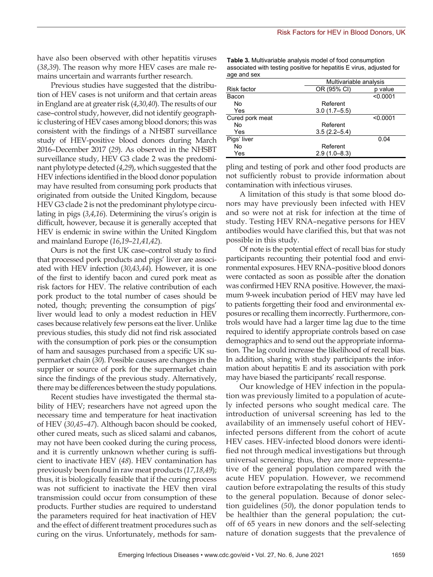have also been observed with other hepatitis viruses (*38*,*39*). The reason why more HEV cases are male remains uncertain and warrants further research.

Previous studies have suggested that the distribution of HEV cases is not uniform and that certain areas in England are at greater risk (*4*,*30*,*40*). The results of our case–control study, however, did not identify geographic clustering of HEV cases among blood donors; this was consistent with the findings of a NHSBT surveillance study of HEV-positive blood donors during March 2016–December 2017 (*29*). As observed in the NHSBT surveillance study, HEV G3 clade 2 was the predominant phylotype detected (*4*,*29*), which suggested that the HEV infections identified in the blood donor population may have resulted from consuming pork products that originated from outside the United Kingdom, because HEV G3 clade 2 is not the predominant phylotype circulating in pigs (*3*,*4*,*16*). Determining the virus's origin is difficult, however, because it is generally accepted that HEV is endemic in swine within the United Kingdom and mainland Europe (*16*,*19*–*21*,*41*,*42*).

Ours is not the first UK case–control study to find that processed pork products and pigs' liver are associated with HEV infection (*30*,*43*,*44*). However, it is one of the first to identify bacon and cured pork meat as risk factors for HEV. The relative contribution of each pork product to the total number of cases should be noted, though; preventing the consumption of pigs' liver would lead to only a modest reduction in HEV cases because relatively few persons eat the liver. Unlike previous studies, this study did not find risk associated with the consumption of pork pies or the consumption of ham and sausages purchased from a specific UK supermarket chain (*30*). Possible causes are changes in the supplier or source of pork for the supermarket chain since the findings of the previous study. Alternatively, there may be differences between the study populations.

Recent studies have investigated the thermal stability of HEV; researchers have not agreed upon the necessary time and temperature for heat inactivation of HEV (*30*,*45*–*47*). Although bacon should be cooked, other cured meats, such as sliced salami and cabanos, may not have been cooked during the curing process, and it is currently unknown whether curing is sufficient to inactivate HEV (*48*). HEV contamination has previously been found in raw meat products (*17*,*18*,*49*); thus, it is biologically feasible that if the curing process was not sufficient to inactivate the HEV then viral transmission could occur from consumption of these products. Further studies are required to understand the parameters required for heat inactivation of HEV and the effect of different treatment procedures such as curing on the virus. Unfortunately, methods for sam**Table 3.** Multivariable analysis model of food consumption associated with testing positive for hepatitis E virus, adjusted for age and sex

|                    |                  | Multivariable analysis |  |  |
|--------------------|------------------|------------------------|--|--|
| <b>Risk factor</b> | OR (95% CI)      | p value                |  |  |
| Bacon              |                  | < 0.0001               |  |  |
| No                 | Referent         |                        |  |  |
| Yes                | $3.0(1.7 - 5.5)$ |                        |  |  |
| Cured pork meat    |                  | < 0.0001               |  |  |
| No                 | Referent         |                        |  |  |
| Yes                | $3.5(2.2 - 5.4)$ |                        |  |  |
| Pigs' liver        |                  | 0.04                   |  |  |
| No                 | Referent         |                        |  |  |
| Yes                | $2.9(1.0 - 8.3)$ |                        |  |  |

pling and testing of pork and other food products are not sufficiently robust to provide information about contamination with infectious viruses.

A limitation of this study is that some blood donors may have previously been infected with HEV and so were not at risk for infection at the time of study. Testing HEV RNA–negative persons for HEV antibodies would have clarified this, but that was not possible in this study.

Of note is the potential effect of recall bias for study participants recounting their potential food and environmental exposures. HEV RNA–positive blood donors were contacted as soon as possible after the donation was confirmed HEV RNA positive. However, the maximum 9-week incubation period of HEV may have led to patients forgetting their food and environmental exposures or recalling them incorrectly. Furthermore, controls would have had a larger time lag due to the time required to identify appropriate controls based on case demographics and to send out the appropriate information. The lag could increase the likelihood of recall bias. In addition, sharing with study participants the information about hepatitis E and its association with pork may have biased the participants' recall response.

Our knowledge of HEV infection in the population was previously limited to a population of acutely infected persons who sought medical care. The introduction of universal screening has led to the availability of an immensely useful cohort of HEVinfected persons different from the cohort of acute HEV cases. HEV-infected blood donors were identified not through medical investigations but through universal screening; thus, they are more representative of the general population compared with the acute HEV population. However, we recommend caution before extrapolating the results of this study to the general population. Because of donor selection guidelines (*50*), the donor population tends to be healthier than the general population; the cutoff of 65 years in new donors and the self-selecting nature of donation suggests that the prevalence of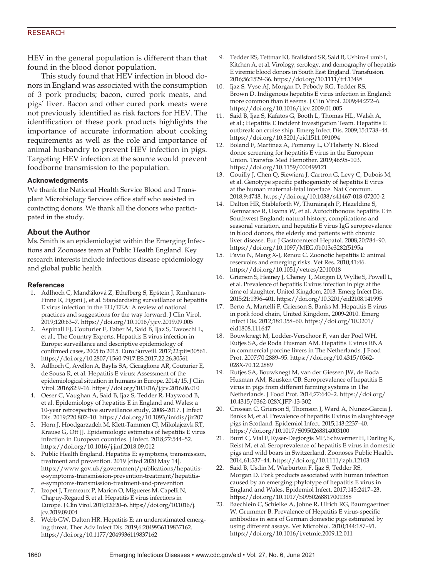### RESEARCH

HEV in the general population is different than that found in the blood donor population.

This study found that HEV infection in blood donors in England was associated with the consumption of 3 pork products; bacon, cured pork meats, and pigs' liver. Bacon and other cured pork meats were not previously identified as risk factors for HEV. The identification of these pork products highlights the importance of accurate information about cooking requirements as well as the role and importance of animal husbandry to prevent HEV infection in pigs. Targeting HEV infection at the source would prevent foodborne transmission to the population.

#### **Acknowledgments**

We thank the National Health Service Blood and Transplant Microbiology Services office staff who assisted in contacting donors. We thank all the donors who participated in the study.

### **About the Author**

Ms. Smith is an epidemiologist within the Emerging Infections and Zoonoses team at Public Health England. Key research interests include infectious disease epidemiology and global public health.

#### **References**

- 1. Adlhoch C, Manďáková Z, Ethelberg S, Epštein J, Rimhanen-Finne R, Figoni J, et al. Standardising surveillance of hepatitis E virus infection in the EU/EEA: A review of national practices and suggestions for the way forward. J Clin Virol. 2019;120:63–7. https://doi.org/10.1016/j.jcv.2019.09.005
- 2. Aspinall EJ, Couturier E, Faber M, Said B, Ijaz S, Tavoschi L, et al.; The Country Experts. Hepatitis E virus infection in Europe: surveillance and descriptive epidemiology of confirmed cases, 2005 to 2015. Euro Surveill. 2017;22:pii=30561. https://doi.org/10.2807/1560-7917.ES.2017.22.26.30561
- 3. Adlhoch C, Avellon A, Baylis SA, Ciccaglione AR, Couturier E, de Sousa R, et al. Hepatitis E virus: Assessment of the epidemiological situation in humans in Europe, 2014/15. J Clin Virol. 2016;82:9–16. https://doi.org/10.1016/j.jcv.2016.06.010
- 4. Oeser C, Vaughan A, Said B, Ijaz S, Tedder R, Haywood B, et al. Epidemiology of hepatitis E in England and Wales: a 10-year retrospective surveillance study, 2008–2017. J Infect Dis. 2019;220:802–10. https://doi.org/10.1093/infdis/jiz207
- 5. Horn J, Hoodgarzadeh M, Klett-Tammen CJ, Mikolajczyk RT, Krause G, Ott JJ. Epidemiologic estimates of hepatitis E virus infection in European countries. J Infect. 2018;77:544–52. https://doi.org/10.1016/j.jinf.2018.09.012
- 6. Public Health England. Hepatitis E: symptoms, transmission, treatment and prevention. 2019 [cited 2020 May 14]. https://www.gov.uk/government/publications/hepatitise-symptoms-transmission-prevention-treatment/hepatitise-symptoms-transmission-treatment-and-prevention
- 7. Izopet J, Tremeaux P, Marion O, Migueres M, Capelli N, Chapuy-Regaud S, et al. Hepatitis E virus infections in Europe. J Clin Virol. 2019;120:20–6. https://doi.org/10.1016/j. jcv.2019.09.004
- 8. Webb GW, Dalton HR. Hepatitis E: an underestimated emerging threat. Ther Adv Infect Dis. 2019;6:2049936119837162. https://doi.org/10.1177/2049936119837162
- 9. Tedder RS, Tettmar KI, Brailsford SR, Said B, Ushiro-Lumb I, Kitchen A, et al. Virology, serology, and demography of hepatitis E viremic blood donors in South East England. Transfusion. 2016;56:1529–36. https://doi.org/10.1111/trf.13498
- 10. Ijaz S, Vyse AJ, Morgan D, Pebody RG, Tedder RS, Brown D. Indigenous hepatitis E virus infection in England: more common than it seems. J Clin Virol. 2009;44:272–6. https://doi.org/10.1016/j.jcv.2009.01.005
- 11. Said B, Ijaz S, Kafatos G, Booth L, Thomas HL, Walsh A, et al.; Hepatitis E Incident Investigation Team. Hepatitis E outbreak on cruise ship. Emerg Infect Dis. 2009;15:1738–44. https://doi.org/10.3201/eid1511.091094
- 12. Boland F, Martinez A, Pomeroy L, O'Flaherty N. Blood donor screening for hepatitis E virus in the European Union. Transfus Med Hemother. 2019;46:95–103. https://doi.org/10.1159/000499121
- 13. Gouilly J, Chen Q, Siewiera J, Cartron G, Levy C, Dubois M, et al. Genotype specific pathogenicity of hepatitis E virus at the human maternal-fetal interface. Nat Commun. 2018;9:4748. https://doi.org/10.1038/s41467-018-07200-2
- 14. Dalton HR, Stableforth W, Thurairajah P, Hazeldine S, Remnarace R, Usama W, et al. Autochthonous hepatitis E in Southwest England: natural history, complications and seasonal variation, and hepatitis E virus IgG seroprevalence in blood donors, the elderly and patients with chronic liver disease. Eur J Gastroenterol Hepatol. 2008;20:784–90. https://doi.org/10.1097/MEG.0b013e3282f5195a
- 15. Pavio N, Meng X-J, Renou C. Zoonotic hepatitis E: animal reservoirs and emerging risks. Vet Res. 2010;41:46. https://doi.org/10.1051/vetres/2010018
- 16. Grierson S, Heaney J, Cheney T, Morgan D, Wyllie S, Powell L, et al. Prevalence of hepatitis E virus infection in pigs at the time of slaughter, United Kingdom, 2013. Emerg Infect Dis. 2015;21:1396–401. https://doi.org/10.3201/eid2108.141995
- 17. Berto A, Martelli F, Grierson S, Banks M. Hepatitis E virus in pork food chain, United Kingdom, 2009-2010. Emerg Infect Dis. 2012;18:1358–60. https://doi.org/10.3201/ eid1808.111647
- 18. Bouwknegt M, Lodder-Verschoor F, van der Poel WH, Rutjes SA, de Roda Husman AM. Hepatitis E virus RNA in commercial porcine livers in The Netherlands. J Food Prot. 2007;70:2889–95. https://doi.org/10.4315/0362- 028X-70.12.2889
- 19. Rutjes SA, Bouwknegt M, van der Giessen JW, de Roda Husman AM, Reusken CB. Seroprevalence of hepatitis E virus in pigs from different farming systems in The Netherlands. J Food Prot. 2014;77:640–2. https://doi.org/ 10.4315/0362-028X.JFP-13-302
- 20. Crossan C, Grierson S, Thomson J, Ward A, Nunez-Garcia J, Banks M, et al. Prevalence of hepatitis E virus in slaughter-age pigs in Scotland. Epidemiol Infect. 2015;143:2237–40. https://doi.org/10.1017/S0950268814003100
- 21. Burri C, Vial F, Ryser-Degiorgis MP, Schwermer H, Darling K, Reist M, et al. Seroprevalence of hepatitis E virus in domestic pigs and wild boars in Switzerland. Zoonoses Public Health. 2014;61:537–44. https://doi.org/10.1111/zph.12103
- 22. Said B, Usdin M, Warburton F, Ijaz S, Tedder RS, Morgan D. Pork products associated with human infection caused by an emerging phylotype of hepatitis E virus in England and Wales. Epidemiol Infect. 2017;145:2417–23. https://doi.org/10.1017/S0950268817001388
- 23. Baechlein C, Schielke A, Johne R, Ulrich RG, Baumgaertner W, Grummer B. Prevalence of Hepatitis E virus-specific antibodies in sera of German domestic pigs estimated by using different assays. Vet Microbiol. 2010;144:187–91. https://doi.org/10.1016/j.vetmic.2009.12.011